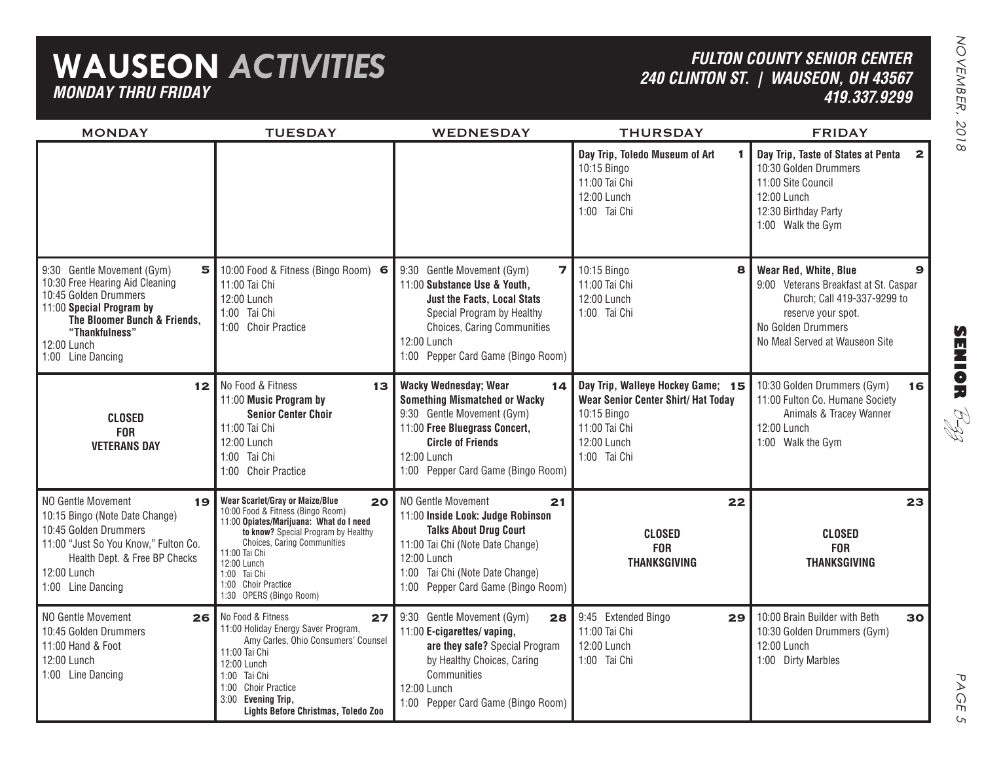## **WAUSEON** *ACTIVITIES MONDAY THRU FRIDAY*

## *FULTON COUNTY SENIOR CENTER240 CLINTON ST. | WAUSEON, OH 43567 419.337.9299*

| <b>MONDAY</b>                                                                                                                                                                                                 | <b>TUESDAY</b>                                                                                                                                                                                                                                                                                                    | <b>WEDNESDAY</b>                                                                                                                                                                                                                     | <b>THURSDAY</b>                                                                                                                                | <b>FRIDAY</b>                                                                                                                                                                     |
|---------------------------------------------------------------------------------------------------------------------------------------------------------------------------------------------------------------|-------------------------------------------------------------------------------------------------------------------------------------------------------------------------------------------------------------------------------------------------------------------------------------------------------------------|--------------------------------------------------------------------------------------------------------------------------------------------------------------------------------------------------------------------------------------|------------------------------------------------------------------------------------------------------------------------------------------------|-----------------------------------------------------------------------------------------------------------------------------------------------------------------------------------|
|                                                                                                                                                                                                               |                                                                                                                                                                                                                                                                                                                   |                                                                                                                                                                                                                                      | Day Trip, Toledo Museum of Art<br>10:15 Bingo<br>11:00 Tai Chi<br>12:00 Lunch<br>1:00 Tai Chi                                                  | Day Trip, Taste of States at Penta<br>2 <sup>1</sup><br>10:30 Golden Drummers<br>11:00 Site Council<br>12:00 Lunch<br>12:30 Birthday Party<br>1:00 Walk the Gym                   |
| 9:30 Gentle Movement (Gym)<br>5<br>10:30 Free Hearing Aid Cleaning<br>10:45 Golden Drummers<br>11:00 Special Program by<br>The Bloomer Bunch & Friends,<br>"Thankfulness"<br>12:00 Lunch<br>1:00 Line Dancing | 10:00 Food & Fitness (Bingo Room) 6<br>11:00 Tai Chi<br>12:00 Lunch<br>1:00 Tai Chi<br>1:00 Choir Practice                                                                                                                                                                                                        | 9:30 Gentle Movement (Gym)<br>$\overline{7}$<br>11:00 Substance Use & Youth,<br><b>Just the Facts, Local Stats</b><br>Special Program by Healthy<br>Choices, Caring Communities<br>12:00 Lunch<br>1:00 Pepper Card Game (Bingo Room) | 10:15 Bingo<br>8<br>11:00 Tai Chi<br>12:00 Lunch<br>1:00 Tai Chi                                                                               | Wear Red, White, Blue<br>9<br>9:00 Veterans Breakfast at St. Caspar<br>Church; Call 419-337-9299 to<br>reserve your spot.<br>No Golden Drummers<br>No Meal Served at Wauseon Site |
| 12 <br><b>CLOSED</b><br><b>FOR</b><br><b>VETERANS DAY</b>                                                                                                                                                     | No Food & Fitness<br>13<br>11:00 Music Program by<br><b>Senior Center Choir</b><br>11:00 Tai Chi<br>12:00 Lunch<br>1:00 Tai Chi<br>1:00 Choir Practice                                                                                                                                                            | <b>Wacky Wednesday; Wear</b><br>14 <br><b>Something Mismatched or Wacky</b><br>9:30 Gentle Movement (Gym)<br>11:00 Free Bluegrass Concert,<br><b>Circle of Friends</b><br>12:00 Lunch<br>1:00 Pepper Card Game (Bingo Room)          | Day Trip, Walleye Hockey Game; 15<br><b>Wear Senior Center Shirt/ Hat Today</b><br>10:15 Bingo<br>11:00 Tai Chi<br>12:00 Lunch<br>1:00 Tai Chi | 10:30 Golden Drummers (Gym)<br>16<br>11:00 Fulton Co. Humane Society<br>Animals & Tracey Wanner<br>12:00 Lunch<br>1:00 Walk the Gym                                               |
| NO Gentle Movement<br>19<br>10:15 Bingo (Note Date Change)<br>10:45 Golden Drummers<br>11:00 "Just So You Know," Fulton Co.<br>Health Dept. & Free BP Checks<br>12:00 Lunch<br>1:00 Line Dancing              | Wear Scarlet/Gray or Maize/Blue<br>20 <sub>2</sub><br>10:00 Food & Fitness (Bingo Room)<br>11:00 Opiates/Marijuana: What do I need<br>to know? Special Program by Healthy<br><b>Choices, Caring Communities</b><br>11:00 Tai Chi<br>12:00 Lunch<br>1:00 Tai Chi<br>1:00 Choir Practice<br>1:30 OPERS (Bingo Room) | NO Gentle Movement<br>21<br>11:00 Inside Look: Judge Robinson<br><b>Talks About Drug Court</b><br>11:00 Tai Chi (Note Date Change)<br>12:00 Lunch<br>Tai Chi (Note Date Change)<br>1:00<br>1:00 Pepper Card Game (Bingo Room)        | 22<br><b>CLOSED</b><br><b>FOR</b><br><b>THANKSGIVING</b>                                                                                       | 23<br><b>CLOSED</b><br><b>FOR</b><br><b>THANKSGIVING</b>                                                                                                                          |
| NO Gentle Movement<br>26 <br>10:45 Golden Drummers<br>11:00 Hand & Foot<br>12:00 Lunch<br>1:00 Line Dancing                                                                                                   | No Food & Fitness<br>27<br>11:00 Holiday Energy Saver Program,<br>Amy Carles, Ohio Consumers' Counsel<br>11:00 Tai Chi<br>12:00 Lunch<br>1:00 Tai Chi<br>1:00 Choir Practice<br>3:00 Evening Trip,<br>Lights Before Christmas, Toledo Zoo                                                                         | 9:30 Gentle Movement (Gym)<br>28<br>11:00 E-cigarettes/vaping,<br>are they safe? Special Program<br>by Healthy Choices, Caring<br>Communities<br>12:00 Lunch<br>1:00 Pepper Card Game (Bingo Room)                                   | 9:45 Extended Bingo<br>29 <sub>1</sub><br>11:00 Tai Chi<br>12:00 Lunch<br>1:00 Tai Chi                                                         | 10:00 Brain Builder with Beth<br>30<br>10:30 Golden Drummers (Gym)<br>12:00 Lunch<br>1:00 Dirty Marbles                                                                           |

**SENIOR** B-zz

> PAGE PAGE 5  $\mathsf{C}_{\mathsf{L}}$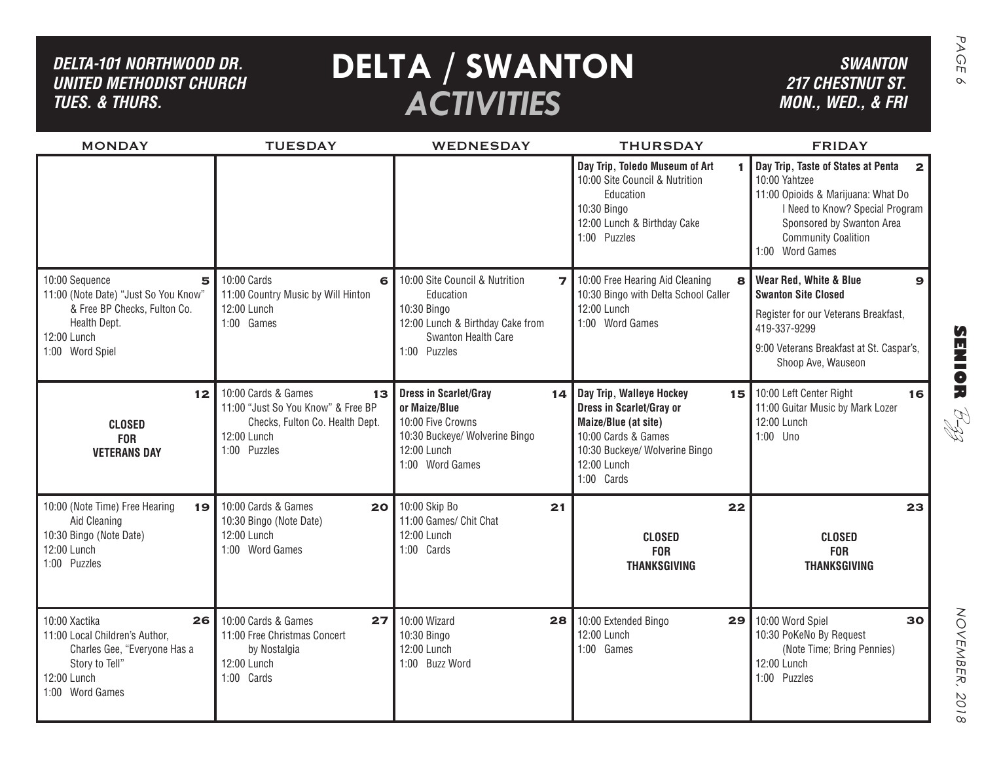| DELTA-101 NORTHWOOD DR.<br><b>UNITED METHODIST CHURCH</b><br><b>TUES. &amp; THURS.</b>                                                        |                                                                                                                                   | <b>DELTA / SWANTON</b><br><b>ACTIVITIES</b>                                                                                                  |                                                                                                                                                                              | <b>SWANTON</b><br><b>217 CHESTNUT ST.</b><br>MON., WED., & FRI                                                                                                                                                             |
|-----------------------------------------------------------------------------------------------------------------------------------------------|-----------------------------------------------------------------------------------------------------------------------------------|----------------------------------------------------------------------------------------------------------------------------------------------|------------------------------------------------------------------------------------------------------------------------------------------------------------------------------|----------------------------------------------------------------------------------------------------------------------------------------------------------------------------------------------------------------------------|
| <b>MONDAY</b>                                                                                                                                 | <b>TUESDAY</b>                                                                                                                    | <b>WEDNESDAY</b>                                                                                                                             | <b>THURSDAY</b>                                                                                                                                                              | <b>FRIDAY</b>                                                                                                                                                                                                              |
|                                                                                                                                               |                                                                                                                                   |                                                                                                                                              | Day Trip, Toledo Museum of Art<br>10:00 Site Council & Nutrition<br>Education<br>10:30 Bingo<br>12:00 Lunch & Birthday Cake<br>1:00 Puzzles                                  | Day Trip, Taste of States at Penta<br>$\mathbf{2}$<br>10:00 Yahtzee<br>11:00 Opioids & Marijuana: What Do<br>I Need to Know? Special Program<br>Sponsored by Swanton Area<br><b>Community Coalition</b><br>1:00 Word Games |
| 10:00 Sequence<br>5<br>11:00 (Note Date) "Just So You Know"<br>& Free BP Checks, Fulton Co.<br>Health Dept.<br>12:00 Lunch<br>1:00 Word Spiel | 10:00 Cards<br>6<br>11:00 Country Music by Will Hinton<br>12:00 Lunch<br>1:00 Games                                               | 10:00 Site Council & Nutrition<br>7 I<br>Education<br>10:30 Bingo<br>12:00 Lunch & Birthday Cake from<br>Swanton Health Care<br>1:00 Puzzles | 10:00 Free Hearing Aid Cleaning<br>8<br>10:30 Bingo with Delta School Caller<br>12:00 Lunch<br>1:00 Word Games                                                               | Wear Red, White & Blue<br>$\mathbf{9}$<br><b>Swanton Site Closed</b>                                                                                                                                                       |
|                                                                                                                                               |                                                                                                                                   |                                                                                                                                              |                                                                                                                                                                              | Register for our Veterans Breakfast,<br>419-337-9299<br>$\boldsymbol{\Omega}$                                                                                                                                              |
|                                                                                                                                               |                                                                                                                                   |                                                                                                                                              |                                                                                                                                                                              | <b>HINGR</b><br>9:00 Veterans Breakfast at St. Caspar's,<br>Shoop Ave, Wauseon                                                                                                                                             |
| 12 <sub>1</sub><br><b>CLOSED</b><br><b>FOR</b><br><b>VETERANS DAY</b>                                                                         | 10:00 Cards & Games<br>13<br>11:00 "Just So You Know" & Free BP<br>Checks, Fulton Co. Health Dept.<br>12:00 Lunch<br>1:00 Puzzles | <b>Dress in Scarlet/Gray</b><br>or Maize/Blue<br>10:00 Five Crowns<br>10:30 Buckeye/ Wolverine Bingo<br>12:00 Lunch<br>1:00 Word Games       | 14 Day Trip, Walleye Hockey<br><b>Dress in Scarlet/Gray or</b><br>Maize/Blue (at site)<br>10:00 Cards & Games<br>10:30 Buckeye/ Wolverine Bingo<br>12:00 Lunch<br>1:00 Cards | 15 10:00 Left Center Right<br>16<br>11:00 Guitar Music by Mark Lozer<br>R.<br>M<br>12:00 Lunch<br>1:00 Uno                                                                                                                 |
| 10:00 (Note Time) Free Hearing<br>19<br>Aid Cleaning                                                                                          | 10:00 Cards & Games<br>20<br>10:30 Bingo (Note Date)                                                                              | 10:00 Skip Bo<br>21<br>11:00 Games/ Chit Chat                                                                                                | 22                                                                                                                                                                           | 23                                                                                                                                                                                                                         |
| 10:30 Bingo (Note Date)<br>12:00 Lunch<br>1:00 Puzzles                                                                                        | 12:00 Lunch<br>1:00 Word Games                                                                                                    | 12:00 Lunch<br>1:00 Cards                                                                                                                    | <b>CLOSED</b><br><b>FOR</b><br><b>THANKSGIVING</b>                                                                                                                           | <b>CLOSED</b><br><b>FOR</b><br><b>THANKSGIVING</b>                                                                                                                                                                         |
| 10:00 Xactika<br>26<br>11:00 Local Children's Author,<br>Charles Gee, "Everyone Has a<br>Story to Tell"<br>12:00 Lunch<br>1:00 Word Games     | 10:00 Cards & Games<br>27<br>11:00 Free Christmas Concert<br>by Nostalgia<br>12:00 Lunch<br>1:00 Cards                            | 10:00 Wizard<br>28 <sub>l</sub><br>10:30 Bingo<br>12:00 Lunch<br>1:00 Buzz Word                                                              | 10:00 Extended Bingo<br>29<br>12:00 Lunch<br>1:00 Games                                                                                                                      | 10:00 Word Spiel<br>30<br>10:30 PoKeNo By Request<br>(Note Time; Bring Pennies)<br>12:00 Lunch<br>1:00 Puzzles<br>2018                                                                                                     |